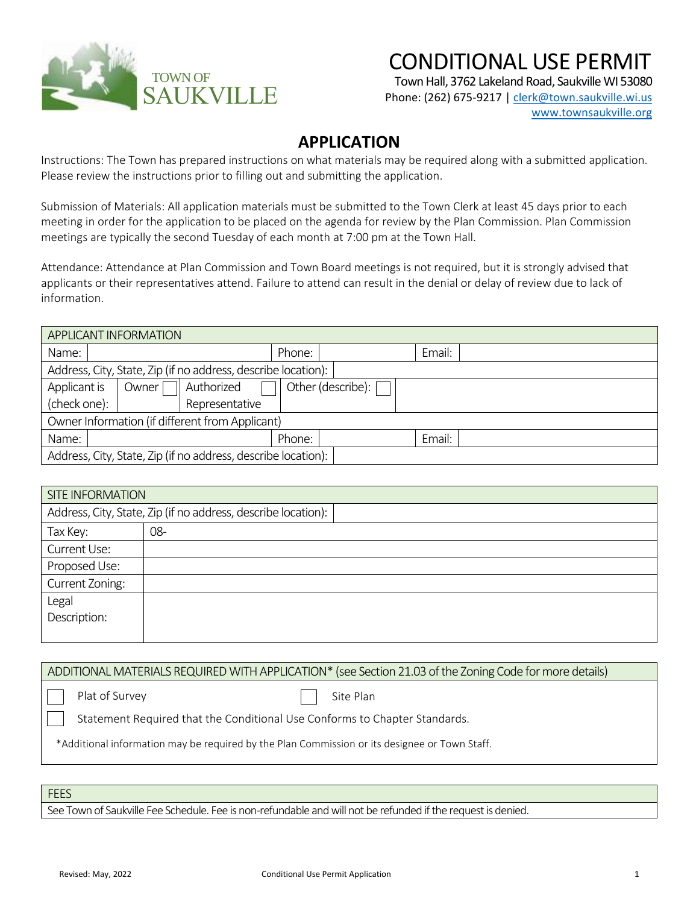

## CONDITIONAL USE PERMIT

Town Hall, 3762 Lakeland Road, Saukville WI 53080

Phone: (262) 675-9217 [| clerk@town.saukville.wi.us](mailto:clerk@town.saukville.wi.us) [www.townsaukville.org](http://www.townsaukville.org/)

## **APPLICATION**

Instructions: The Town has prepared instructions on what materials may be required along with a submitted application. Please review the instructions prior to filling out and submitting the application.

Submission of Materials: All application materials must be submitted to the Town Clerk at least 45 days prior to each meeting in order for the application to be placed on the agenda for review by the Plan Commission. Plan Commission meetings are typically the second Tuesday of each month at 7:00 pm at the Town Hall.

Attendance: Attendance at Plan Commission and Town Board meetings is not required, but it is strongly advised that applicants or their representatives attend. Failure to attend can result in the denial or delay of review due to lack of information.

| APPLICANT INFORMATION                                         |       |                |        |                   |        |  |
|---------------------------------------------------------------|-------|----------------|--------|-------------------|--------|--|
| Name:                                                         |       |                | Phone: |                   | Email: |  |
| Address, City, State, Zip (if no address, describe location): |       |                |        |                   |        |  |
| Applicant is                                                  | Owner | Authorized     |        | Other (describe): |        |  |
| (check one):                                                  |       | Representative |        |                   |        |  |
| Owner Information (if different from Applicant)               |       |                |        |                   |        |  |
| Name:                                                         |       |                | Phone: |                   | Email: |  |
| Address, City, State, Zip (if no address, describe location): |       |                |        |                   |        |  |

| <b>SITE INFORMATION</b>                                       |     |  |  |  |  |
|---------------------------------------------------------------|-----|--|--|--|--|
| Address, City, State, Zip (if no address, describe location): |     |  |  |  |  |
| Tax Key:                                                      | 08- |  |  |  |  |
| Current Use:                                                  |     |  |  |  |  |
| Proposed Use:                                                 |     |  |  |  |  |
| Current Zoning:                                               |     |  |  |  |  |
| Legal                                                         |     |  |  |  |  |
| Description:                                                  |     |  |  |  |  |
|                                                               |     |  |  |  |  |

ADDITIONAL MATERIALS REQUIRED WITH APPLICATION\* (see Section 21.03 of the Zoning Code for more details)

Plat of Survey

Site Plan

Statement Required that the Conditional Use Conforms to Chapter Standards.

\*Additional information may be required by the Plan Commission or its designee or Town Staff.

FEES

See Town of Saukville Fee Schedule. Fee is non-refundable and will not be refunded if the request is denied.